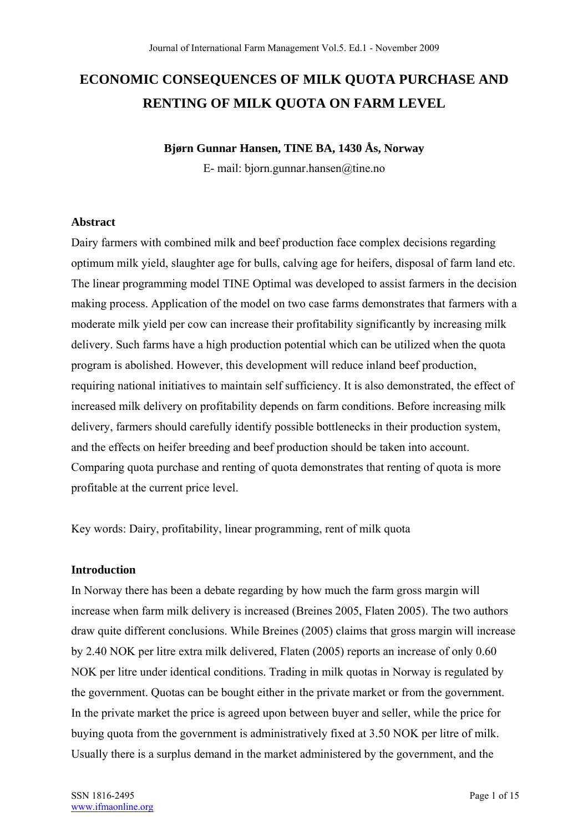# **ECONOMIC CONSEQUENCES OF MILK QUOTA PURCHASE AND RENTING OF MILK QUOTA ON FARM LEVEL**

## **Bjørn Gunnar Hansen, TINE BA, 1430 Ås, Norway**

E- mail: bjorn.gunnar.hansen@tine.no

#### **Abstract**

Dairy farmers with combined milk and beef production face complex decisions regarding optimum milk yield, slaughter age for bulls, calving age for heifers, disposal of farm land etc. The linear programming model TINE Optimal was developed to assist farmers in the decision making process. Application of the model on two case farms demonstrates that farmers with a moderate milk yield per cow can increase their profitability significantly by increasing milk delivery. Such farms have a high production potential which can be utilized when the quota program is abolished. However, this development will reduce inland beef production, requiring national initiatives to maintain self sufficiency. It is also demonstrated, the effect of increased milk delivery on profitability depends on farm conditions. Before increasing milk delivery, farmers should carefully identify possible bottlenecks in their production system, and the effects on heifer breeding and beef production should be taken into account. Comparing quota purchase and renting of quota demonstrates that renting of quota is more profitable at the current price level.

Key words: Dairy, profitability, linear programming, rent of milk quota

### **Introduction**

In Norway there has been a debate regarding by how much the farm gross margin will increase when farm milk delivery is increased (Breines 2005, Flaten 2005). The two authors draw quite different conclusions. While Breines (2005) claims that gross margin will increase by 2.40 NOK per litre extra milk delivered, Flaten (2005) reports an increase of only 0.60 NOK per litre under identical conditions. Trading in milk quotas in Norway is regulated by the government. Quotas can be bought either in the private market or from the government. In the private market the price is agreed upon between buyer and seller, while the price for buying quota from the government is administratively fixed at 3.50 NOK per litre of milk. Usually there is a surplus demand in the market administered by the government, and the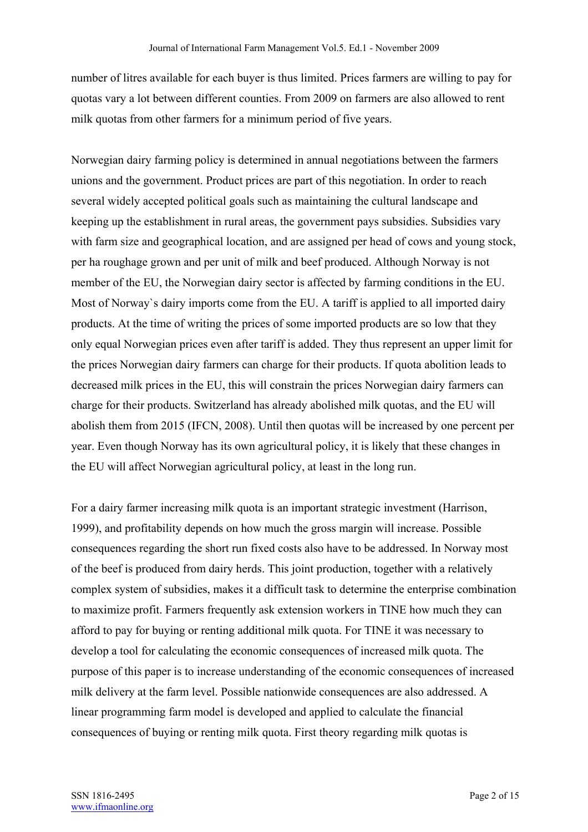number of litres available for each buyer is thus limited. Prices farmers are willing to pay for quotas vary a lot between different counties. From 2009 on farmers are also allowed to rent milk quotas from other farmers for a minimum period of five years.

Norwegian dairy farming policy is determined in annual negotiations between the farmers unions and the government. Product prices are part of this negotiation. In order to reach several widely accepted political goals such as maintaining the cultural landscape and keeping up the establishment in rural areas, the government pays subsidies. Subsidies vary with farm size and geographical location, and are assigned per head of cows and young stock, per ha roughage grown and per unit of milk and beef produced. Although Norway is not member of the EU, the Norwegian dairy sector is affected by farming conditions in the EU. Most of Norway`s dairy imports come from the EU. A tariff is applied to all imported dairy products. At the time of writing the prices of some imported products are so low that they only equal Norwegian prices even after tariff is added. They thus represent an upper limit for the prices Norwegian dairy farmers can charge for their products. If quota abolition leads to decreased milk prices in the EU, this will constrain the prices Norwegian dairy farmers can charge for their products. Switzerland has already abolished milk quotas, and the EU will abolish them from 2015 (IFCN, 2008). Until then quotas will be increased by one percent per year. Even though Norway has its own agricultural policy, it is likely that these changes in the EU will affect Norwegian agricultural policy, at least in the long run.

For a dairy farmer increasing milk quota is an important strategic investment (Harrison, 1999), and profitability depends on how much the gross margin will increase. Possible consequences regarding the short run fixed costs also have to be addressed. In Norway most of the beef is produced from dairy herds. This joint production, together with a relatively complex system of subsidies, makes it a difficult task to determine the enterprise combination to maximize profit. Farmers frequently ask extension workers in TINE how much they can afford to pay for buying or renting additional milk quota. For TINE it was necessary to develop a tool for calculating the economic consequences of increased milk quota. The purpose of this paper is to increase understanding of the economic consequences of increased milk delivery at the farm level. Possible nationwide consequences are also addressed. A linear programming farm model is developed and applied to calculate the financial consequences of buying or renting milk quota. First theory regarding milk quotas is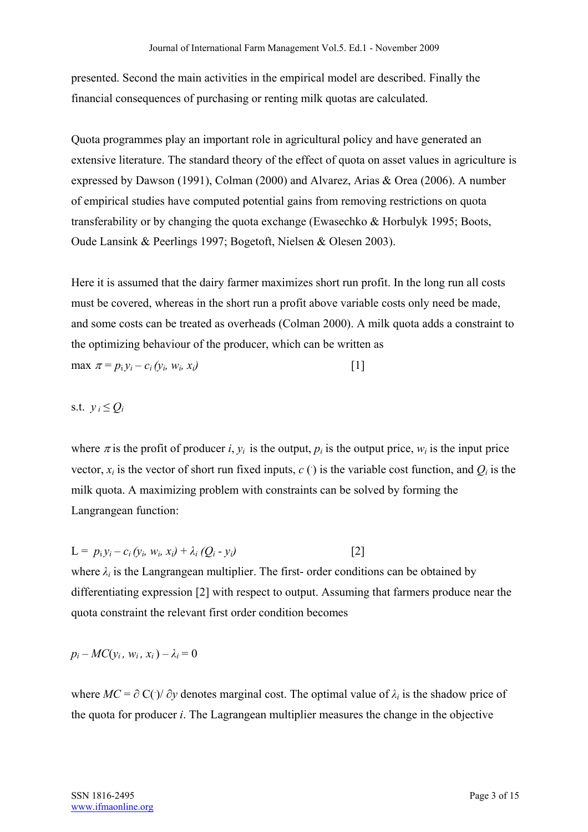presented. Second the main activities in the empirical model are described. Finally the financial consequences of purchasing or renting milk quotas are calculated.

Quota programmes play an important role in agricultural policy and have generated an extensive literature. The standard theory of the effect of quota on asset values in agriculture is expressed by Dawson (1991), Colman (2000) and Alvarez, Arias & Orea (2006). A number of empirical studies have computed potential gains from removing restrictions on quota transferability or by changing the quota exchange (Ewasechko & Horbulyk 1995; Boots, Oude Lansink & Peerlings 1997; Bogetoft, Nielsen & Olesen 2003).

Here it is assumed that the dairy farmer maximizes short run profit. In the long run all costs must be covered, whereas in the short run a profit above variable costs only need be made, and some costs can be treated as overheads (Colman 2000). A milk quota adds a constraint to the optimizing behaviour of the producer, which can be written as  $\max \pi = p_i v_i - c_i (v_i, w_i, x_i)$  [1]

## s.t.  $v_i \leq Q_i$

where  $\pi$  is the profit of producer *i*,  $y_i$  is the output,  $p_i$  is the output price,  $w_i$  is the input price vector,  $x_i$  is the vector of short run fixed inputs,  $c$  () is the variable cost function, and  $Q_i$  is the milk quota. A maximizing problem with constraints can be solved by forming the Langrangean function:

 $L = p_i y_i - c_i (y_i, w_i, x_i) + \lambda_i (Q_i - y_i)$  [2]

where  $\lambda_i$  is the Langrangean multiplier. The first- order conditions can be obtained by differentiating expression [2] with respect to output. Assuming that farmers produce near the quota constraint the relevant first order condition becomes

$$
p_i - MC(y_i, w_i, x_i) - \lambda_i = 0
$$

where  $MC = \partial C(\cdot)/\partial y$  denotes marginal cost. The optimal value of  $\lambda_i$  is the shadow price of the quota for producer *i*. The Lagrangean multiplier measures the change in the objective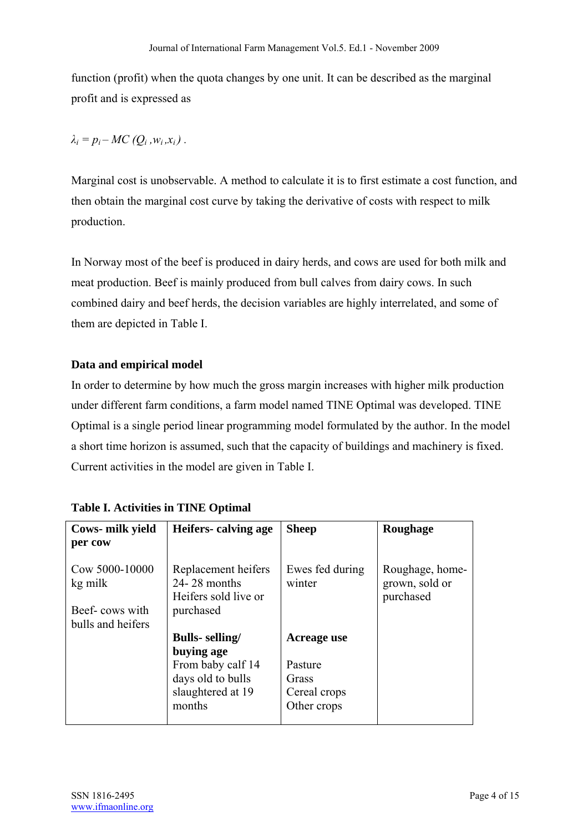function (profit) when the quota changes by one unit. It can be described as the marginal profit and is expressed as

 $\lambda_i = p_i - MC(Q_i, w_i, x_i)$ .

Marginal cost is unobservable. A method to calculate it is to first estimate a cost function, and then obtain the marginal cost curve by taking the derivative of costs with respect to milk production.

In Norway most of the beef is produced in dairy herds, and cows are used for both milk and meat production. Beef is mainly produced from bull calves from dairy cows. In such combined dairy and beef herds, the decision variables are highly interrelated, and some of them are depicted in Table I.

## **Data and empirical model**

In order to determine by how much the gross margin increases with higher milk production under different farm conditions, a farm model named TINE Optimal was developed. TINE Optimal is a single period linear programming model formulated by the author. In the model a short time horizon is assumed, such that the capacity of buildings and machinery is fixed. Current activities in the model are given in Table I.

| Cows- milk yield<br>per cow                 | Heifers calving age                                                          | <b>Sheep</b>              | <b>Roughage</b>                                |
|---------------------------------------------|------------------------------------------------------------------------------|---------------------------|------------------------------------------------|
| Cow 5000-10000<br>kg milk<br>Beef-cows with | Replacement heifers<br>$24 - 28$ months<br>Heifers sold live or<br>purchased | Ewes fed during<br>winter | Roughage, home-<br>grown, sold or<br>purchased |
| bulls and heifers                           |                                                                              |                           |                                                |
|                                             | <b>Bulls-</b> selling/<br>buying age                                         | Acreage use               |                                                |
|                                             | From baby calf 14                                                            | Pasture                   |                                                |
|                                             | days old to bulls                                                            | Grass                     |                                                |
|                                             | slaughtered at 19                                                            | Cereal crops              |                                                |
|                                             | months                                                                       | Other crops               |                                                |
|                                             |                                                                              |                           |                                                |

| <b>Table I. Activities in TINE Optimal</b> |  |  |  |
|--------------------------------------------|--|--|--|
|--------------------------------------------|--|--|--|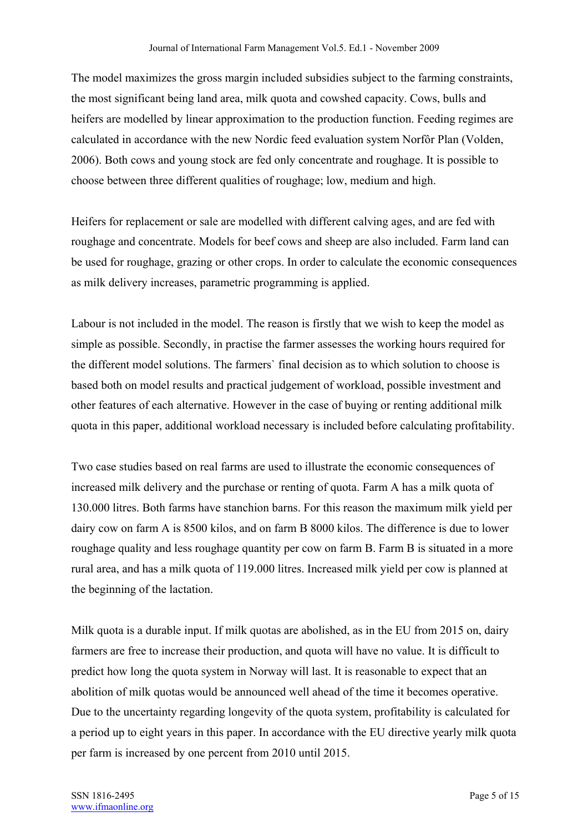The model maximizes the gross margin included subsidies subject to the farming constraints, the most significant being land area, milk quota and cowshed capacity. Cows, bulls and heifers are modelled by linear approximation to the production function. Feeding regimes are calculated in accordance with the new Nordic feed evaluation system Norfôr Plan (Volden, 2006). Both cows and young stock are fed only concentrate and roughage. It is possible to choose between three different qualities of roughage; low, medium and high.

Heifers for replacement or sale are modelled with different calving ages, and are fed with roughage and concentrate. Models for beef cows and sheep are also included. Farm land can be used for roughage, grazing or other crops. In order to calculate the economic consequences as milk delivery increases, parametric programming is applied.

Labour is not included in the model. The reason is firstly that we wish to keep the model as simple as possible. Secondly, in practise the farmer assesses the working hours required for the different model solutions. The farmers` final decision as to which solution to choose is based both on model results and practical judgement of workload, possible investment and other features of each alternative. However in the case of buying or renting additional milk quota in this paper, additional workload necessary is included before calculating profitability.

Two case studies based on real farms are used to illustrate the economic consequences of increased milk delivery and the purchase or renting of quota. Farm A has a milk quota of 130.000 litres. Both farms have stanchion barns. For this reason the maximum milk yield per dairy cow on farm A is 8500 kilos, and on farm B 8000 kilos. The difference is due to lower roughage quality and less roughage quantity per cow on farm B. Farm B is situated in a more rural area, and has a milk quota of 119.000 litres. Increased milk yield per cow is planned at the beginning of the lactation.

Milk quota is a durable input. If milk quotas are abolished, as in the EU from 2015 on, dairy farmers are free to increase their production, and quota will have no value. It is difficult to predict how long the quota system in Norway will last. It is reasonable to expect that an abolition of milk quotas would be announced well ahead of the time it becomes operative. Due to the uncertainty regarding longevity of the quota system, profitability is calculated for a period up to eight years in this paper. In accordance with the EU directive yearly milk quota per farm is increased by one percent from 2010 until 2015.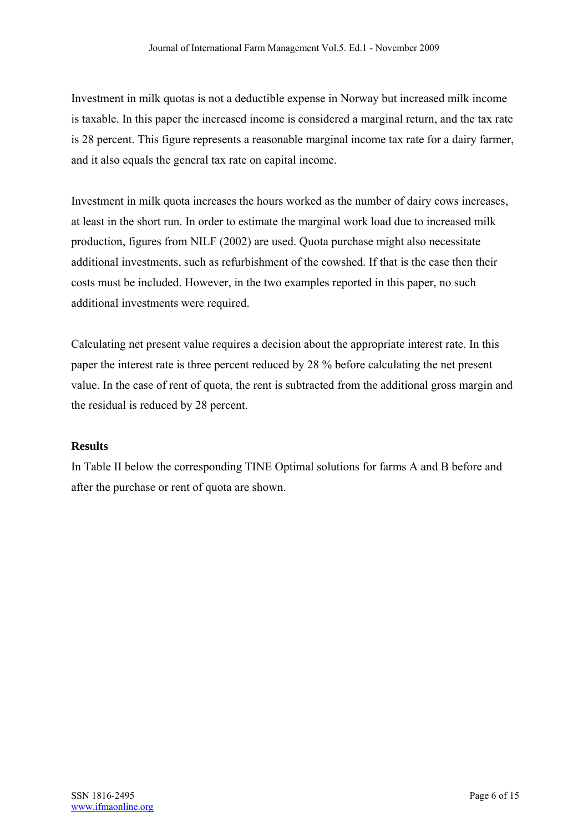Investment in milk quotas is not a deductible expense in Norway but increased milk income is taxable. In this paper the increased income is considered a marginal return, and the tax rate is 28 percent. This figure represents a reasonable marginal income tax rate for a dairy farmer, and it also equals the general tax rate on capital income.

Investment in milk quota increases the hours worked as the number of dairy cows increases, at least in the short run. In order to estimate the marginal work load due to increased milk production, figures from NILF (2002) are used. Quota purchase might also necessitate additional investments, such as refurbishment of the cowshed. If that is the case then their costs must be included. However, in the two examples reported in this paper, no such additional investments were required.

Calculating net present value requires a decision about the appropriate interest rate. In this paper the interest rate is three percent reduced by 28 % before calculating the net present value. In the case of rent of quota, the rent is subtracted from the additional gross margin and the residual is reduced by 28 percent.

## **Results**

In Table II below the corresponding TINE Optimal solutions for farms A and B before and after the purchase or rent of quota are shown.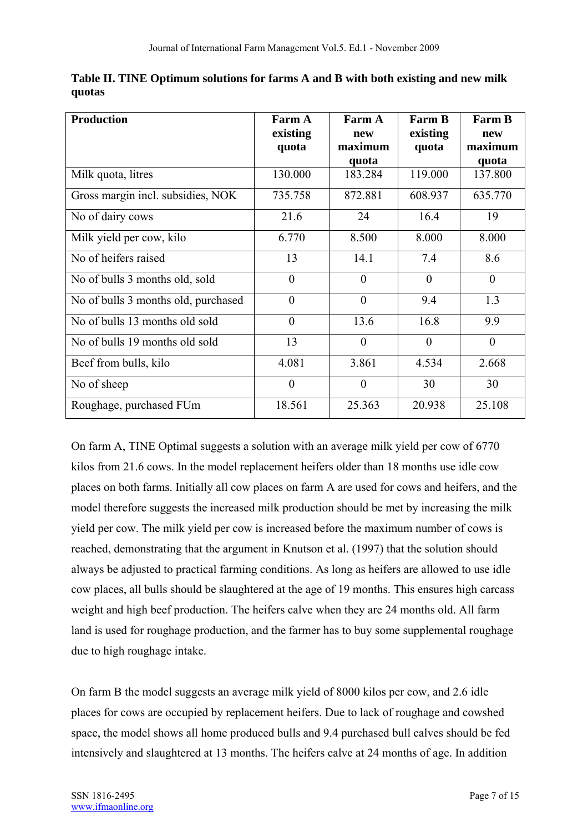| <b>Production</b>                   | <b>Farm A</b><br>existing<br>quota | Farm A<br>new<br>maximum<br>quota | <b>Farm B</b><br>existing<br>quota | <b>Farm B</b><br>new<br>maximum<br>quota |
|-------------------------------------|------------------------------------|-----------------------------------|------------------------------------|------------------------------------------|
| Milk quota, litres                  | 130.000                            | 183.284                           | 119.000                            | 137.800                                  |
| Gross margin incl. subsidies, NOK   | 735.758                            | 872.881                           | 608.937                            | 635.770                                  |
| No of dairy cows                    | 21.6                               | 24                                | 16.4                               | 19                                       |
| Milk yield per cow, kilo            | 6.770                              | 8.500                             | 8.000                              | 8.000                                    |
| No of heifers raised                | 13                                 | 14.1                              | 7.4                                | 8.6                                      |
| No of bulls 3 months old, sold      | $\theta$                           | $\theta$                          | $\theta$                           | $\theta$                                 |
| No of bulls 3 months old, purchased | $\overline{0}$                     | $\theta$                          | 9.4                                | 1.3                                      |
| No of bulls 13 months old sold      | $\overline{0}$                     | 13.6                              | 16.8                               | 9.9                                      |
| No of bulls 19 months old sold      | 13                                 | $\theta$                          | $\overline{0}$                     | $\overline{0}$                           |
| Beef from bulls, kilo               | 4.081                              | 3.861                             | 4.534                              | 2.668                                    |
| No of sheep                         | $\theta$                           | $\theta$                          | 30                                 | 30                                       |
| Roughage, purchased FUm             | 18.561                             | 25.363                            | 20.938                             | 25.108                                   |

**Table II. TINE Optimum solutions for farms A and B with both existing and new milk quotas** 

On farm A, TINE Optimal suggests a solution with an average milk yield per cow of 6770 kilos from 21.6 cows. In the model replacement heifers older than 18 months use idle cow places on both farms. Initially all cow places on farm A are used for cows and heifers, and the model therefore suggests the increased milk production should be met by increasing the milk yield per cow. The milk yield per cow is increased before the maximum number of cows is reached, demonstrating that the argument in Knutson et al. (1997) that the solution should always be adjusted to practical farming conditions. As long as heifers are allowed to use idle cow places, all bulls should be slaughtered at the age of 19 months. This ensures high carcass weight and high beef production. The heifers calve when they are 24 months old. All farm land is used for roughage production, and the farmer has to buy some supplemental roughage due to high roughage intake.

On farm B the model suggests an average milk yield of 8000 kilos per cow, and 2.6 idle places for cows are occupied by replacement heifers. Due to lack of roughage and cowshed space, the model shows all home produced bulls and 9.4 purchased bull calves should be fed intensively and slaughtered at 13 months. The heifers calve at 24 months of age. In addition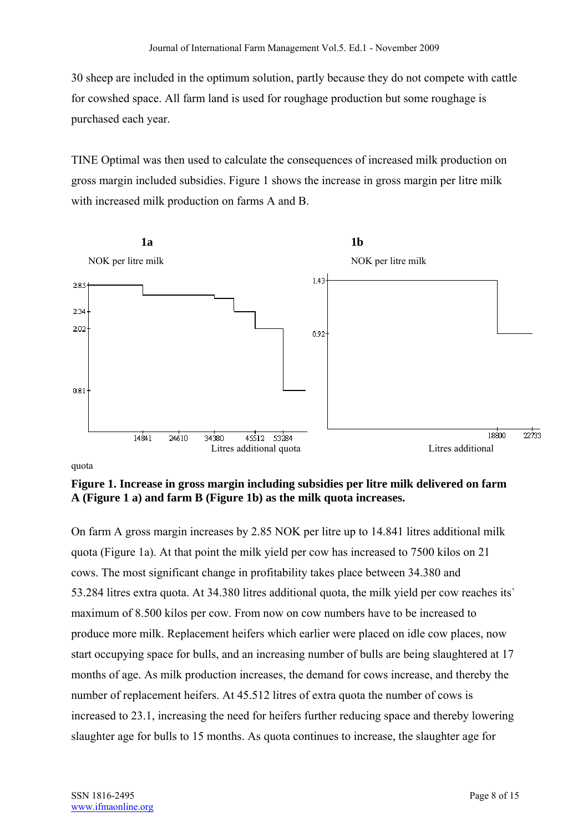30 sheep are included in the optimum solution, partly because they do not compete with cattle for cowshed space. All farm land is used for roughage production but some roughage is purchased each year.

TINE Optimal was then used to calculate the consequences of increased milk production on gross margin included subsidies. Figure 1 shows the increase in gross margin per litre milk with increased milk production on farms A and B.



quota

**Figure 1. Increase in gross margin including subsidies per litre milk delivered on farm A (Figure 1 a) and farm B (Figure 1b) as the milk quota increases.** 

On farm A gross margin increases by 2.85 NOK per litre up to 14.841 litres additional milk quota (Figure 1a). At that point the milk yield per cow has increased to 7500 kilos on 21 cows. The most significant change in profitability takes place between 34.380 and 53.284 litres extra quota. At 34.380 litres additional quota, the milk yield per cow reaches its` maximum of 8.500 kilos per cow. From now on cow numbers have to be increased to produce more milk. Replacement heifers which earlier were placed on idle cow places, now start occupying space for bulls, and an increasing number of bulls are being slaughtered at 17 months of age. As milk production increases, the demand for cows increase, and thereby the number of replacement heifers. At 45.512 litres of extra quota the number of cows is increased to 23.1, increasing the need for heifers further reducing space and thereby lowering slaughter age for bulls to 15 months. As quota continues to increase, the slaughter age for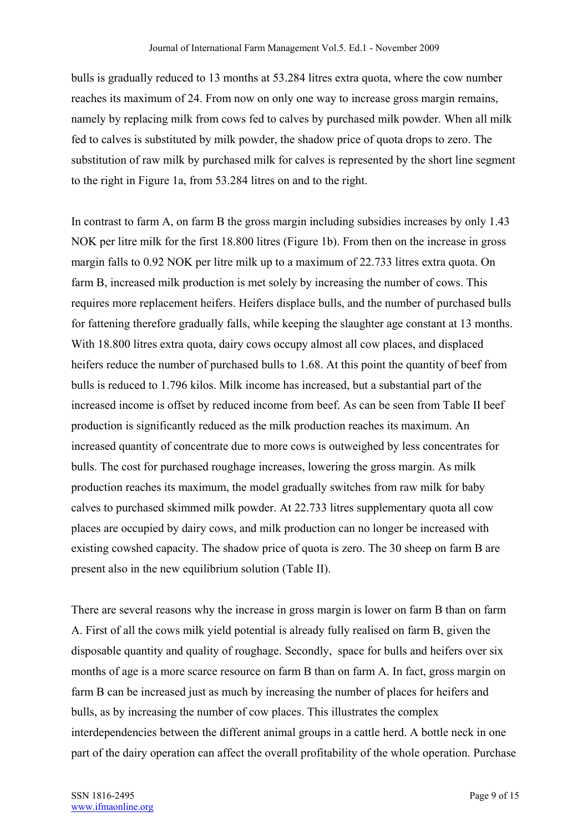bulls is gradually reduced to 13 months at 53.284 litres extra quota, where the cow number reaches its maximum of 24. From now on only one way to increase gross margin remains, namely by replacing milk from cows fed to calves by purchased milk powder. When all milk fed to calves is substituted by milk powder, the shadow price of quota drops to zero. The substitution of raw milk by purchased milk for calves is represented by the short line segment to the right in Figure 1a, from 53.284 litres on and to the right.

In contrast to farm A, on farm B the gross margin including subsidies increases by only 1.43 NOK per litre milk for the first 18.800 litres (Figure 1b). From then on the increase in gross margin falls to 0.92 NOK per litre milk up to a maximum of 22.733 litres extra quota. On farm B, increased milk production is met solely by increasing the number of cows. This requires more replacement heifers. Heifers displace bulls, and the number of purchased bulls for fattening therefore gradually falls, while keeping the slaughter age constant at 13 months. With 18.800 litres extra quota, dairy cows occupy almost all cow places, and displaced heifers reduce the number of purchased bulls to 1.68. At this point the quantity of beef from bulls is reduced to 1.796 kilos. Milk income has increased, but a substantial part of the increased income is offset by reduced income from beef. As can be seen from Table II beef production is significantly reduced as the milk production reaches its maximum. An increased quantity of concentrate due to more cows is outweighed by less concentrates for bulls. The cost for purchased roughage increases, lowering the gross margin. As milk production reaches its maximum, the model gradually switches from raw milk for baby calves to purchased skimmed milk powder. At 22.733 litres supplementary quota all cow places are occupied by dairy cows, and milk production can no longer be increased with existing cowshed capacity. The shadow price of quota is zero. The 30 sheep on farm B are present also in the new equilibrium solution (Table II).

There are several reasons why the increase in gross margin is lower on farm B than on farm A. First of all the cows milk yield potential is already fully realised on farm B, given the disposable quantity and quality of roughage. Secondly, space for bulls and heifers over six months of age is a more scarce resource on farm B than on farm A. In fact, gross margin on farm B can be increased just as much by increasing the number of places for heifers and bulls, as by increasing the number of cow places. This illustrates the complex interdependencies between the different animal groups in a cattle herd. A bottle neck in one part of the dairy operation can affect the overall profitability of the whole operation. Purchase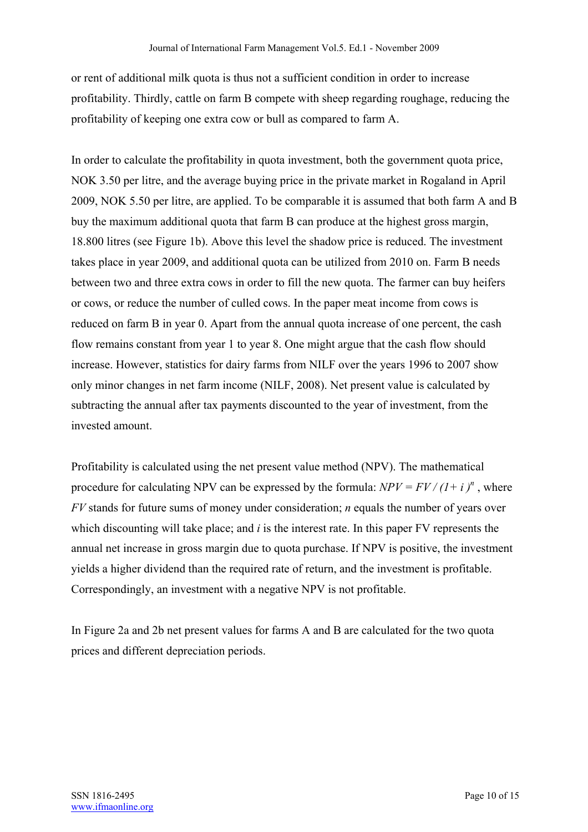or rent of additional milk quota is thus not a sufficient condition in order to increase profitability. Thirdly, cattle on farm B compete with sheep regarding roughage, reducing the profitability of keeping one extra cow or bull as compared to farm A.

In order to calculate the profitability in quota investment, both the government quota price, NOK 3.50 per litre, and the average buying price in the private market in Rogaland in April 2009, NOK 5.50 per litre, are applied. To be comparable it is assumed that both farm A and B buy the maximum additional quota that farm B can produce at the highest gross margin, 18.800 litres (see Figure 1b). Above this level the shadow price is reduced. The investment takes place in year 2009, and additional quota can be utilized from 2010 on. Farm B needs between two and three extra cows in order to fill the new quota. The farmer can buy heifers or cows, or reduce the number of culled cows. In the paper meat income from cows is reduced on farm B in year 0. Apart from the annual quota increase of one percent, the cash flow remains constant from year 1 to year 8. One might argue that the cash flow should increase. However, statistics for dairy farms from NILF over the years 1996 to 2007 show only minor changes in net farm income (NILF, 2008). Net present value is calculated by subtracting the annual after tax payments discounted to the year of investment, from the invested amount.

Profitability is calculated using the net present value method (NPV). The mathematical procedure for calculating NPV can be expressed by the formula:  $NPV = FV/(I + i)^n$ , where *FV* stands for future sums of money under consideration; *n* equals the number of years over which discounting will take place; and *i* is the interest rate. In this paper FV represents the annual net increase in gross margin due to quota purchase. If NPV is positive, the investment yields a higher dividend than the required rate of return, and the investment is profitable. Correspondingly, an investment with a negative NPV is not profitable.

In Figure 2a and 2b net present values for farms A and B are calculated for the two quota prices and different depreciation periods.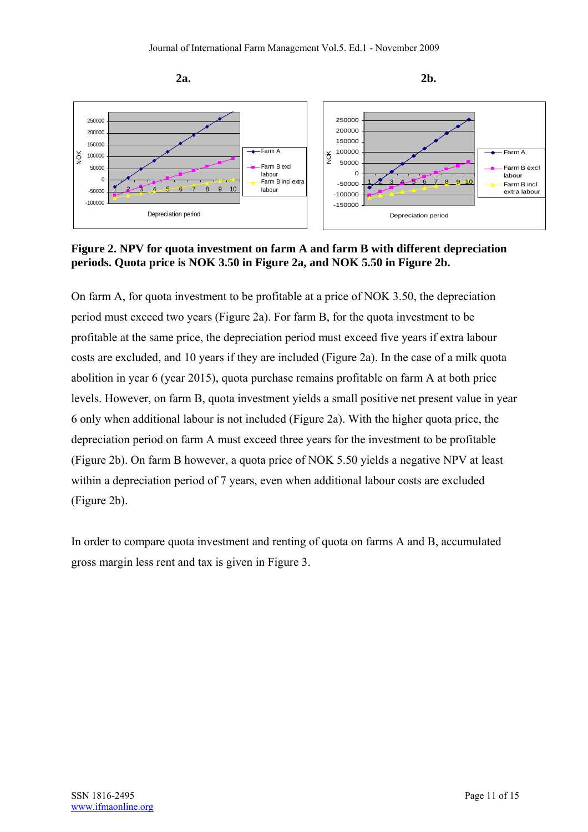



On farm A, for quota investment to be profitable at a price of NOK 3.50, the depreciation period must exceed two years (Figure 2a). For farm B, for the quota investment to be profitable at the same price, the depreciation period must exceed five years if extra labour costs are excluded, and 10 years if they are included (Figure 2a). In the case of a milk quota abolition in year 6 (year 2015), quota purchase remains profitable on farm A at both price levels. However, on farm B, quota investment yields a small positive net present value in year 6 only when additional labour is not included (Figure 2a). With the higher quota price, the depreciation period on farm A must exceed three years for the investment to be profitable (Figure 2b). On farm B however, a quota price of NOK 5.50 yields a negative NPV at least within a depreciation period of 7 years, even when additional labour costs are excluded (Figure 2b).

In order to compare quota investment and renting of quota on farms A and B, accumulated gross margin less rent and tax is given in Figure 3.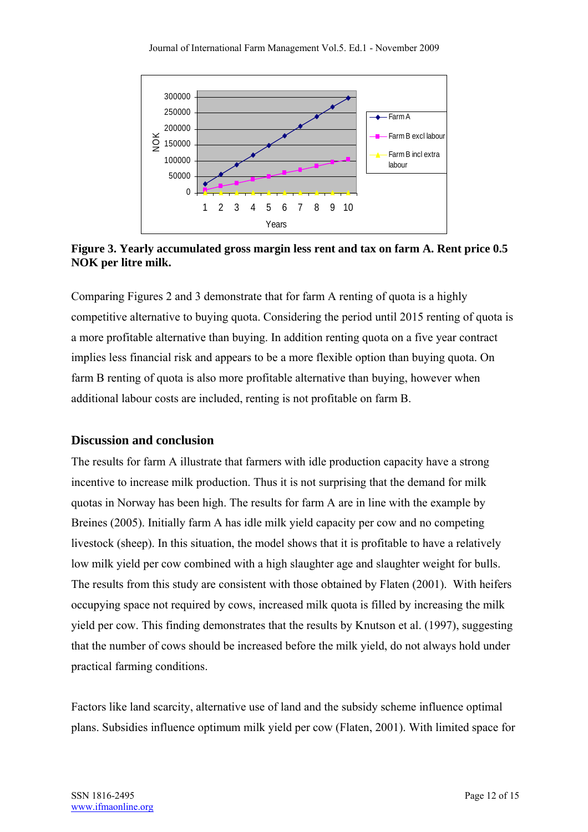

**Figure 3. Yearly accumulated gross margin less rent and tax on farm A. Rent price 0.5 NOK per litre milk.**

Comparing Figures 2 and 3 demonstrate that for farm A renting of quota is a highly competitive alternative to buying quota. Considering the period until 2015 renting of quota is a more profitable alternative than buying. In addition renting quota on a five year contract implies less financial risk and appears to be a more flexible option than buying quota. On farm B renting of quota is also more profitable alternative than buying, however when additional labour costs are included, renting is not profitable on farm B.

### **Discussion and conclusion**

The results for farm A illustrate that farmers with idle production capacity have a strong incentive to increase milk production. Thus it is not surprising that the demand for milk quotas in Norway has been high. The results for farm A are in line with the example by Breines (2005). Initially farm A has idle milk yield capacity per cow and no competing livestock (sheep). In this situation, the model shows that it is profitable to have a relatively low milk yield per cow combined with a high slaughter age and slaughter weight for bulls. The results from this study are consistent with those obtained by Flaten (2001). With heifers occupying space not required by cows, increased milk quota is filled by increasing the milk yield per cow. This finding demonstrates that the results by Knutson et al. (1997), suggesting that the number of cows should be increased before the milk yield, do not always hold under practical farming conditions.

Factors like land scarcity, alternative use of land and the subsidy scheme influence optimal plans. Subsidies influence optimum milk yield per cow (Flaten, 2001). With limited space for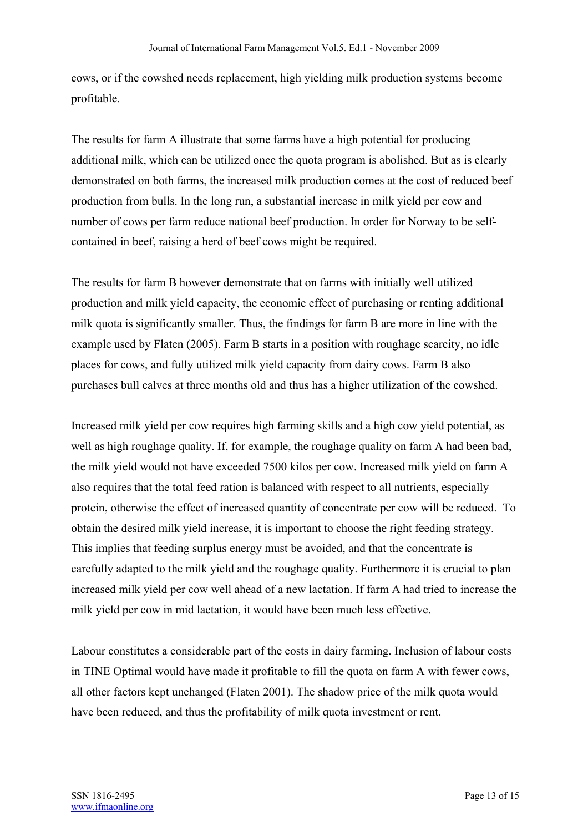cows, or if the cowshed needs replacement, high yielding milk production systems become profitable.

The results for farm A illustrate that some farms have a high potential for producing additional milk, which can be utilized once the quota program is abolished. But as is clearly demonstrated on both farms, the increased milk production comes at the cost of reduced beef production from bulls. In the long run, a substantial increase in milk yield per cow and number of cows per farm reduce national beef production. In order for Norway to be selfcontained in beef, raising a herd of beef cows might be required.

The results for farm B however demonstrate that on farms with initially well utilized production and milk yield capacity, the economic effect of purchasing or renting additional milk quota is significantly smaller. Thus, the findings for farm B are more in line with the example used by Flaten (2005). Farm B starts in a position with roughage scarcity, no idle places for cows, and fully utilized milk yield capacity from dairy cows. Farm B also purchases bull calves at three months old and thus has a higher utilization of the cowshed.

Increased milk yield per cow requires high farming skills and a high cow yield potential, as well as high roughage quality. If, for example, the roughage quality on farm A had been bad, the milk yield would not have exceeded 7500 kilos per cow. Increased milk yield on farm A also requires that the total feed ration is balanced with respect to all nutrients, especially protein, otherwise the effect of increased quantity of concentrate per cow will be reduced. To obtain the desired milk yield increase, it is important to choose the right feeding strategy. This implies that feeding surplus energy must be avoided, and that the concentrate is carefully adapted to the milk yield and the roughage quality. Furthermore it is crucial to plan increased milk yield per cow well ahead of a new lactation. If farm A had tried to increase the milk yield per cow in mid lactation, it would have been much less effective.

Labour constitutes a considerable part of the costs in dairy farming. Inclusion of labour costs in TINE Optimal would have made it profitable to fill the quota on farm A with fewer cows, all other factors kept unchanged (Flaten 2001). The shadow price of the milk quota would have been reduced, and thus the profitability of milk quota investment or rent.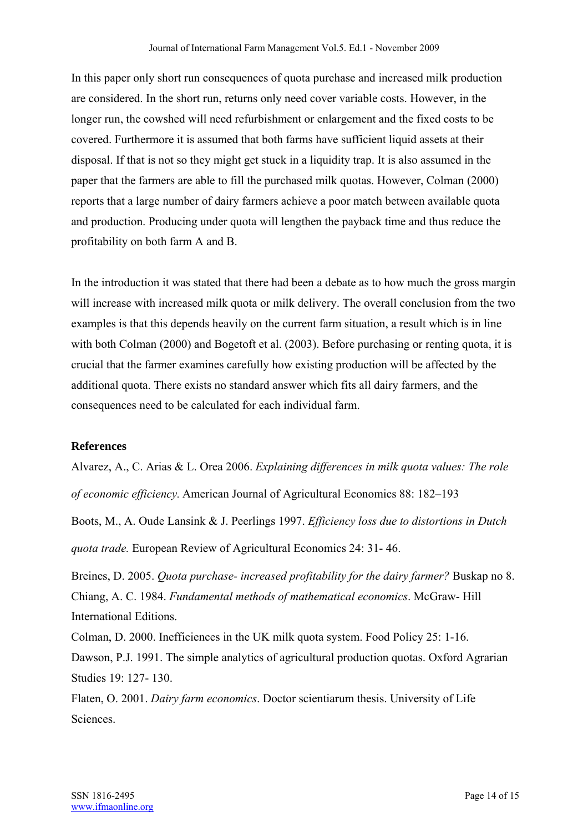In this paper only short run consequences of quota purchase and increased milk production are considered. In the short run, returns only need cover variable costs. However, in the longer run, the cowshed will need refurbishment or enlargement and the fixed costs to be covered. Furthermore it is assumed that both farms have sufficient liquid assets at their disposal. If that is not so they might get stuck in a liquidity trap. It is also assumed in the paper that the farmers are able to fill the purchased milk quotas. However, Colman (2000) reports that a large number of dairy farmers achieve a poor match between available quota and production. Producing under quota will lengthen the payback time and thus reduce the profitability on both farm A and B.

In the introduction it was stated that there had been a debate as to how much the gross margin will increase with increased milk quota or milk delivery. The overall conclusion from the two examples is that this depends heavily on the current farm situation, a result which is in line with both Colman (2000) and Bogetoft et al. (2003). Before purchasing or renting quota, it is crucial that the farmer examines carefully how existing production will be affected by the additional quota. There exists no standard answer which fits all dairy farmers, and the consequences need to be calculated for each individual farm.

### **References**

Alvarez, A., C. Arias & L. Orea 2006. *Explaining differences in milk quota values: The role of economic efficiency.* American Journal of Agricultural Economics 88: 182–193 Boots, M., A. Oude Lansink & J. Peerlings 1997. *Efficiency loss due to distortions in Dutch quota trade.* European Review of Agricultural Economics 24: 31- 46.

Breines, D. 2005. *Quota purchase- increased profitability for the dairy farmer?* Buskap no 8. Chiang, A. C. 1984. *Fundamental methods of mathematical economics*. McGraw- Hill International Editions.

Colman, D. 2000. Inefficiences in the UK milk quota system. Food Policy 25: 1-16. Dawson, P.J. 1991. The simple analytics of agricultural production quotas. Oxford Agrarian Studies 19: 127- 130.

Flaten, O. 2001. *Dairy farm economics*. Doctor scientiarum thesis. University of Life Sciences.